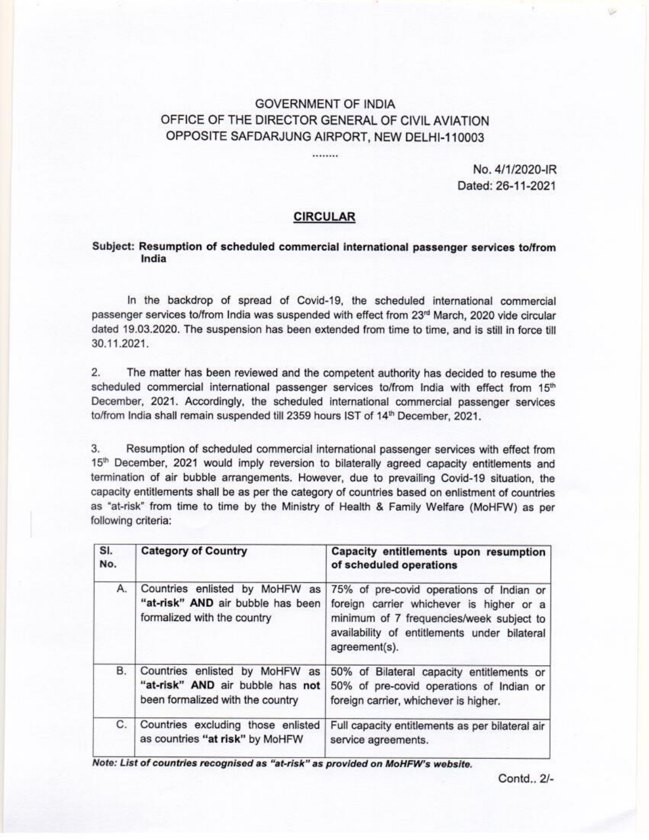## GOVERNMENT OF INDIA OFFICE OF THE DIRECTOR GENERAL OF CIVIL AVIATION OPPOSITE SAFDARJUNG AIRPORT, NEW DELHI-110003

## CIRCULAR

## Subject: Resumption of scheduled commercial international passenger services to/from India

| <b>GOVERNMENT OF INDIA</b><br>OFFICE OF THE DIRECTOR GENERAL OF CIVIL AVIATION<br>OPPOSITE SAFDARJUNG AIRPORT, NEW DELHI-110003<br><br><b>CIRCULAR</b><br>India<br>30.11.2021.<br>2.<br>to/from India shall remain suspended till 2359 hours IST of 14th December, 2021.<br>3.<br>following criteria:<br>SI.<br><b>Category of Country</b><br>Capacity entitlements upon resumption<br>No.<br>of scheduled operations<br>Countries enlisted by MoHFW as 75% of pre-covid operations of Indian or<br>А.<br>"at-risk" AND air bubble has been<br>foreign carrier whichever is higher or a<br>formalized with the country<br>minimum of 7 frequencies/week subject to<br>availability of entitlements under bilateral<br>agreement(s).<br>Countries enlisted by MoHFW as<br>В.<br>50% of Bilateral capacity entitlements or<br>"at-risk" AND air bubble has not<br>50% of pre-covid operations of Indian or<br>been formalized with the country<br>foreign carrier, whichever is higher.<br>С.<br>Countries excluding those enlisted<br>Full capacity entitlements as per bilateral air<br>as countries "at risk" by MoHFW<br>service agreements.<br>Note: List of countries recognised as "at-risk" as provided on MoHFW's website. |  |  |  |  |  |  |
|-----------------------------------------------------------------------------------------------------------------------------------------------------------------------------------------------------------------------------------------------------------------------------------------------------------------------------------------------------------------------------------------------------------------------------------------------------------------------------------------------------------------------------------------------------------------------------------------------------------------------------------------------------------------------------------------------------------------------------------------------------------------------------------------------------------------------------------------------------------------------------------------------------------------------------------------------------------------------------------------------------------------------------------------------------------------------------------------------------------------------------------------------------------------------------------------------------------------------------------|--|--|--|--|--|--|
| No. 4/1/2020-IR<br>Contd., 2/-                                                                                                                                                                                                                                                                                                                                                                                                                                                                                                                                                                                                                                                                                                                                                                                                                                                                                                                                                                                                                                                                                                                                                                                                    |  |  |  |  |  |  |
| Dated: 26-11-2021<br>Subject: Resumption of scheduled commercial international passenger services to/from<br>In the backdrop of spread of Covid-19, the scheduled international commercial<br>passenger services to/from India was suspended with effect from 23rd March, 2020 vide circular                                                                                                                                                                                                                                                                                                                                                                                                                                                                                                                                                                                                                                                                                                                                                                                                                                                                                                                                      |  |  |  |  |  |  |
|                                                                                                                                                                                                                                                                                                                                                                                                                                                                                                                                                                                                                                                                                                                                                                                                                                                                                                                                                                                                                                                                                                                                                                                                                                   |  |  |  |  |  |  |
| dated 19.03.2020. The suspension has been extended from time to time, and is still in force till<br>The matter has been reviewed and the competent authority has decided to resume the<br>scheduled commercial international passenger services to/from India with effect from 15th<br>December, 2021. Accordingly, the scheduled international commercial passenger services<br>Resumption of scheduled commercial international passenger services with effect from<br>15th December, 2021 would imply reversion to bilaterally agreed capacity entitlements and<br>termination of air bubble arrangements. However, due to prevailing Covid-19 situation, the<br>capacity entitlements shall be as per the category of countries based on enlistment of countries<br>as "at-risk" from time to time by the Ministry of Health & Family Welfare (MoHFW) as per                                                                                                                                                                                                                                                                                                                                                                  |  |  |  |  |  |  |
|                                                                                                                                                                                                                                                                                                                                                                                                                                                                                                                                                                                                                                                                                                                                                                                                                                                                                                                                                                                                                                                                                                                                                                                                                                   |  |  |  |  |  |  |
|                                                                                                                                                                                                                                                                                                                                                                                                                                                                                                                                                                                                                                                                                                                                                                                                                                                                                                                                                                                                                                                                                                                                                                                                                                   |  |  |  |  |  |  |
|                                                                                                                                                                                                                                                                                                                                                                                                                                                                                                                                                                                                                                                                                                                                                                                                                                                                                                                                                                                                                                                                                                                                                                                                                                   |  |  |  |  |  |  |
|                                                                                                                                                                                                                                                                                                                                                                                                                                                                                                                                                                                                                                                                                                                                                                                                                                                                                                                                                                                                                                                                                                                                                                                                                                   |  |  |  |  |  |  |
|                                                                                                                                                                                                                                                                                                                                                                                                                                                                                                                                                                                                                                                                                                                                                                                                                                                                                                                                                                                                                                                                                                                                                                                                                                   |  |  |  |  |  |  |
|                                                                                                                                                                                                                                                                                                                                                                                                                                                                                                                                                                                                                                                                                                                                                                                                                                                                                                                                                                                                                                                                                                                                                                                                                                   |  |  |  |  |  |  |
|                                                                                                                                                                                                                                                                                                                                                                                                                                                                                                                                                                                                                                                                                                                                                                                                                                                                                                                                                                                                                                                                                                                                                                                                                                   |  |  |  |  |  |  |
|                                                                                                                                                                                                                                                                                                                                                                                                                                                                                                                                                                                                                                                                                                                                                                                                                                                                                                                                                                                                                                                                                                                                                                                                                                   |  |  |  |  |  |  |